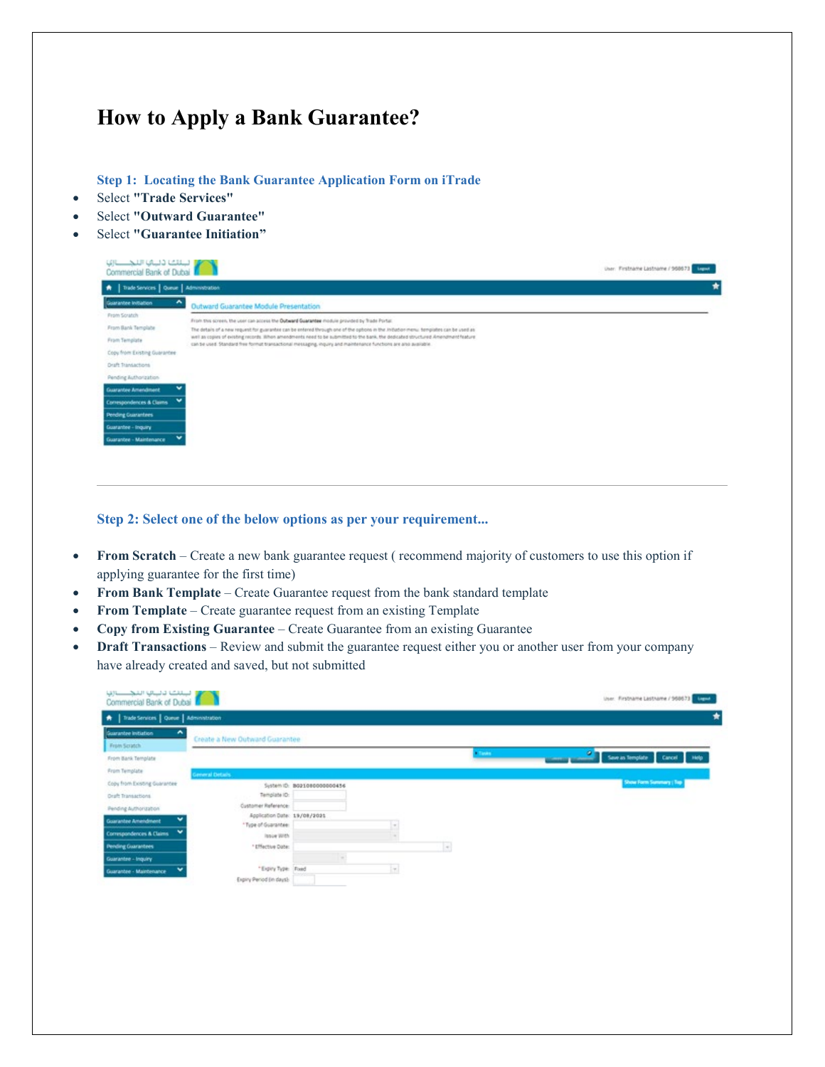## **How to Apply a Bank Guarantee?**

**Step 1: Locating the Bank Guarantee Application Form on iTrade**

- Select **"Trade Services"**
- Select **"Outward Guarantee"**
- Select **"Guarantee Initiation"**

| لبنائك دليائي الليجيستانية<br>Commercial Bank of Duba |                                                                                                                                                                                                                                                        | User: Firstname Lastname / 968673 Margaret |
|-------------------------------------------------------|--------------------------------------------------------------------------------------------------------------------------------------------------------------------------------------------------------------------------------------------------------|--------------------------------------------|
| A   Trade Services   Queue   Administration           |                                                                                                                                                                                                                                                        |                                            |
| Guarantee Initiation                                  | Outward Guarantee Module Presentation                                                                                                                                                                                                                  |                                            |
| <b>From Scratch</b>                                   | From this screen, the user can access the Outward Guarantee module provided by Trade Portal.                                                                                                                                                           |                                            |
| From Bank Template                                    | The details of a new request for guarantee can be entered through one of the options in the initiation menu. templates can be used as                                                                                                                  |                                            |
| From Template                                         | well as copies of existing records. Illhon amendments need to be submitted to the bank. the dedicated structured Amendment feature<br>can be used. Standard free format transactional messaging, inquiry and maintenance functions are also available. |                                            |
| Copy from Existing Guarantee:                         |                                                                                                                                                                                                                                                        |                                            |
| <b>Oraft Transactions</b>                             |                                                                                                                                                                                                                                                        |                                            |
| Pending Authorization                                 |                                                                                                                                                                                                                                                        |                                            |
| <b>Guarantee Amendment</b>                            |                                                                                                                                                                                                                                                        |                                            |
| $\check{}$<br>Correspondences & Claims                |                                                                                                                                                                                                                                                        |                                            |
| <b>Pending Guarantees</b>                             |                                                                                                                                                                                                                                                        |                                            |
| Guarantee - Inquiry                                   |                                                                                                                                                                                                                                                        |                                            |
| $\checkmark$<br>Guarantee - Maintenance               |                                                                                                                                                                                                                                                        |                                            |
|                                                       |                                                                                                                                                                                                                                                        |                                            |
|                                                       |                                                                                                                                                                                                                                                        |                                            |

**Step 2: Select one of the below options as per your requirement...**

- **From Scratch** Create a new bank guarantee request ( recommend majority of customers to use this option if applying guarantee for the first time)
- **From Bank Template** Create Guarantee request from the bank standard template
- **From Template** Create guarantee request from an existing Template
- **Copy from Existing Guarantee** Create Guarantee from an existing Guarantee
- **Draft Transactions** Review and submit the guarantee request either you or another user from your company have already created and saved, but not submitted

| Guarantee Initiation<br>́<br>Create a New Outward Guarantee<br>From Scratch<br>Tasks:<br>From Bank Template<br>From Template<br><b>Ceneral Details</b><br>Show Form Summary ; Top<br>Copy from Existing Guarantee<br>System ID: 8021080000000456<br>Template ID:<br><b>Oraft Transactions</b><br>Customer Reference:<br>Pending Authorization<br>Application Date: 19/08/2021<br>w.<br><b>Guarantee Amendment</b><br>*Type of Guarantee:<br>$\sim$<br>$\check{}$<br><b>Convergendences &amp; Claims</b><br><b>Josie With</b><br><b>Pending Guarantees</b><br>$\vert \cdot \vert$<br>*Effective Date:<br>Guarantee - Inquiry<br>*Expiry Type: Foxed<br>$\vert \tau \vert$<br>$\checkmark$<br>Guarantee - Maintenance | A   Trade Services   Queue   Administration |  |  |                              |
|---------------------------------------------------------------------------------------------------------------------------------------------------------------------------------------------------------------------------------------------------------------------------------------------------------------------------------------------------------------------------------------------------------------------------------------------------------------------------------------------------------------------------------------------------------------------------------------------------------------------------------------------------------------------------------------------------------------------|---------------------------------------------|--|--|------------------------------|
|                                                                                                                                                                                                                                                                                                                                                                                                                                                                                                                                                                                                                                                                                                                     |                                             |  |  |                              |
|                                                                                                                                                                                                                                                                                                                                                                                                                                                                                                                                                                                                                                                                                                                     |                                             |  |  |                              |
|                                                                                                                                                                                                                                                                                                                                                                                                                                                                                                                                                                                                                                                                                                                     |                                             |  |  | Seve in Template Cancel Help |
|                                                                                                                                                                                                                                                                                                                                                                                                                                                                                                                                                                                                                                                                                                                     |                                             |  |  |                              |
|                                                                                                                                                                                                                                                                                                                                                                                                                                                                                                                                                                                                                                                                                                                     |                                             |  |  |                              |
|                                                                                                                                                                                                                                                                                                                                                                                                                                                                                                                                                                                                                                                                                                                     |                                             |  |  |                              |
|                                                                                                                                                                                                                                                                                                                                                                                                                                                                                                                                                                                                                                                                                                                     |                                             |  |  |                              |
|                                                                                                                                                                                                                                                                                                                                                                                                                                                                                                                                                                                                                                                                                                                     |                                             |  |  |                              |
|                                                                                                                                                                                                                                                                                                                                                                                                                                                                                                                                                                                                                                                                                                                     |                                             |  |  |                              |
|                                                                                                                                                                                                                                                                                                                                                                                                                                                                                                                                                                                                                                                                                                                     |                                             |  |  |                              |
|                                                                                                                                                                                                                                                                                                                                                                                                                                                                                                                                                                                                                                                                                                                     |                                             |  |  |                              |
|                                                                                                                                                                                                                                                                                                                                                                                                                                                                                                                                                                                                                                                                                                                     |                                             |  |  |                              |
|                                                                                                                                                                                                                                                                                                                                                                                                                                                                                                                                                                                                                                                                                                                     |                                             |  |  |                              |